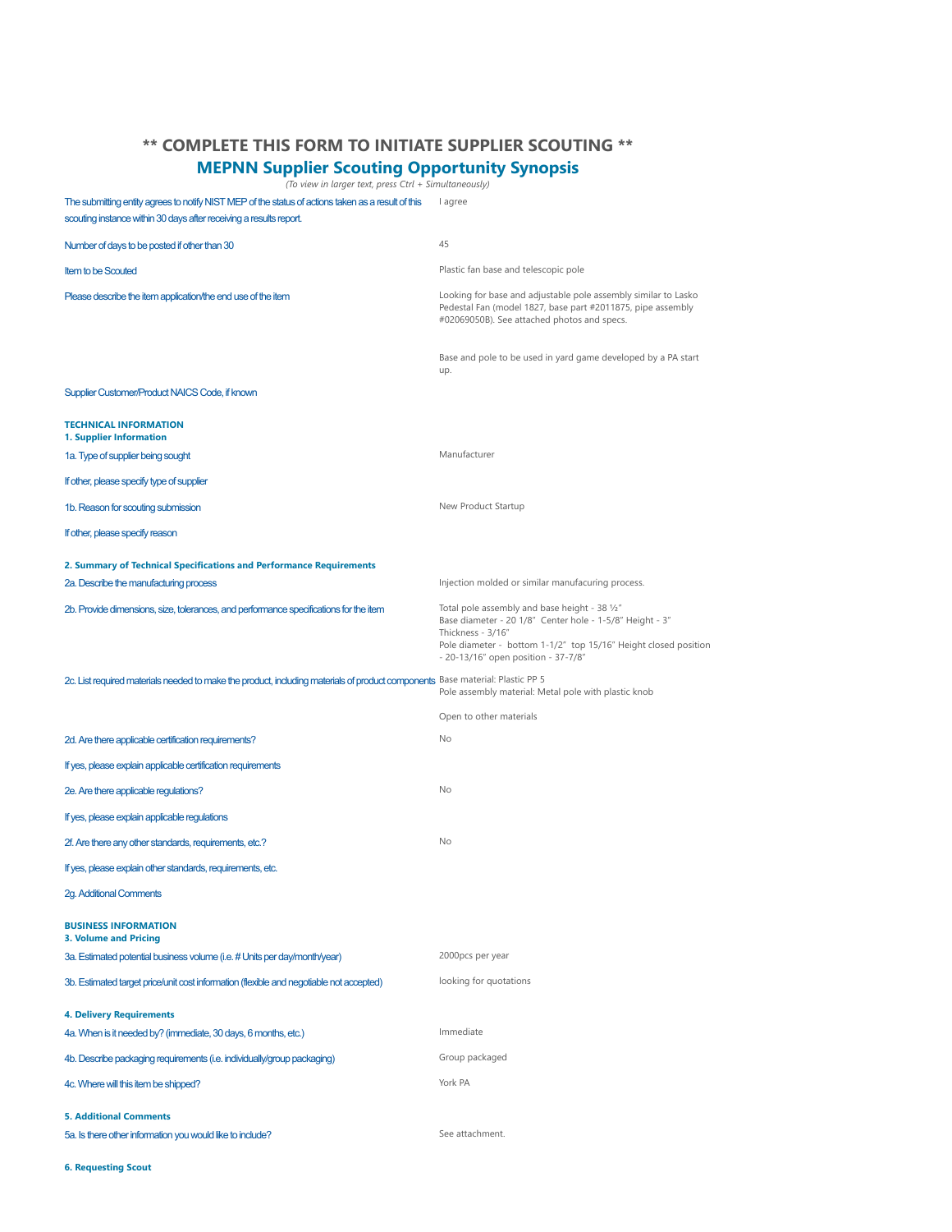## **\*\* COMPLETE THIS FORM TO INITIATE SUPPLIER SCOUTING \*\***

## **MEPNN Supplier Scouting Opportunity Synopsis**

*(To view in larger text, press Ctrl + Simultaneously)*

The submitting entity agrees to notify NIST MEP of the status of actions taken as a result of this lagree scouting instance within 30 days after receiving a results report.

| Number of days to be posted if other than 30                                                                                  | 45                                                                                                                                                                                                                                       |
|-------------------------------------------------------------------------------------------------------------------------------|------------------------------------------------------------------------------------------------------------------------------------------------------------------------------------------------------------------------------------------|
| <b>Item to be Scouted</b>                                                                                                     | Plastic fan base and telescopic pole                                                                                                                                                                                                     |
| Please describe the item application/the end use of the item                                                                  | Looking for base and adjustable pole assembly similar to Lasko<br>Pedestal Fan (model 1827, base part #2011875, pipe assembly<br>#02069050B). See attached photos and specs.                                                             |
|                                                                                                                               | Base and pole to be used in yard game developed by a PA start<br>up.                                                                                                                                                                     |
| Supplier Customer/Product NAICS Code, if known                                                                                |                                                                                                                                                                                                                                          |
| <b>TECHNICAL INFORMATION</b><br>1. Supplier Information                                                                       |                                                                                                                                                                                                                                          |
| 1a. Type of supplier being sought                                                                                             | Manufacturer                                                                                                                                                                                                                             |
| If other, please specify type of supplier                                                                                     |                                                                                                                                                                                                                                          |
| 1b. Reason for scouting submission                                                                                            | New Product Startup                                                                                                                                                                                                                      |
| If other, please specify reason                                                                                               |                                                                                                                                                                                                                                          |
| 2. Summary of Technical Specifications and Performance Requirements                                                           |                                                                                                                                                                                                                                          |
| 2a. Describe the manufacturing process                                                                                        | Injection molded or similar manufacuring process.                                                                                                                                                                                        |
| 2b. Provide dimensions, size, tolerances, and performance specifications for the item                                         | Total pole assembly and base height - 38 1/2"<br>Base diameter - 20 1/8" Center hole - 1-5/8" Height - 3"<br>Thickness - 3/16"<br>Pole diameter - bottom 1-1/2" top 15/16" Height closed position<br>- 20-13/16" open position - 37-7/8" |
| 2c. List required materials needed to make the product, including materials of product components Base material: Plastic PP 5 | Pole assembly material: Metal pole with plastic knob                                                                                                                                                                                     |
|                                                                                                                               | Open to other materials                                                                                                                                                                                                                  |
| 2d. Are there applicable certification requirements?                                                                          | No                                                                                                                                                                                                                                       |
| If yes, please explain applicable certification requirements                                                                  |                                                                                                                                                                                                                                          |
| 2e. Are there applicable regulations?                                                                                         | No                                                                                                                                                                                                                                       |
| If yes, please explain applicable regulations                                                                                 |                                                                                                                                                                                                                                          |
| 2f. Are there any other standards, requirements, etc.?                                                                        | <b>No</b>                                                                                                                                                                                                                                |
| If yes, please explain other standards, requirements, etc.                                                                    |                                                                                                                                                                                                                                          |
| <b>2g. Additional Comments</b>                                                                                                |                                                                                                                                                                                                                                          |
| <b>BUSINESS INFORMATION</b><br><b>3. Volume and Pricing</b>                                                                   |                                                                                                                                                                                                                                          |
| 3a. Estimated potential business volume (i.e. # Units per day/month/year)                                                     | 2000pcs per year                                                                                                                                                                                                                         |
| 3b. Estimated target price/unit cost information (flexible and negotiable not accepted)                                       | looking for quotations                                                                                                                                                                                                                   |
| <b>4. Delivery Requirements</b>                                                                                               |                                                                                                                                                                                                                                          |
| 4a. When is it needed by? (immediate, 30 days, 6 months, etc.)                                                                | Immediate                                                                                                                                                                                                                                |
| 4b. Describe packaging requirements (i.e. individually/group packaging)                                                       | Group packaged                                                                                                                                                                                                                           |
| 4c. Where will this item be shipped?                                                                                          | York PA                                                                                                                                                                                                                                  |
| <b>5. Additional Comments</b>                                                                                                 |                                                                                                                                                                                                                                          |
| 5a. Is there other information you would like to include?                                                                     | See attachment.                                                                                                                                                                                                                          |

**6. Requesting Scout**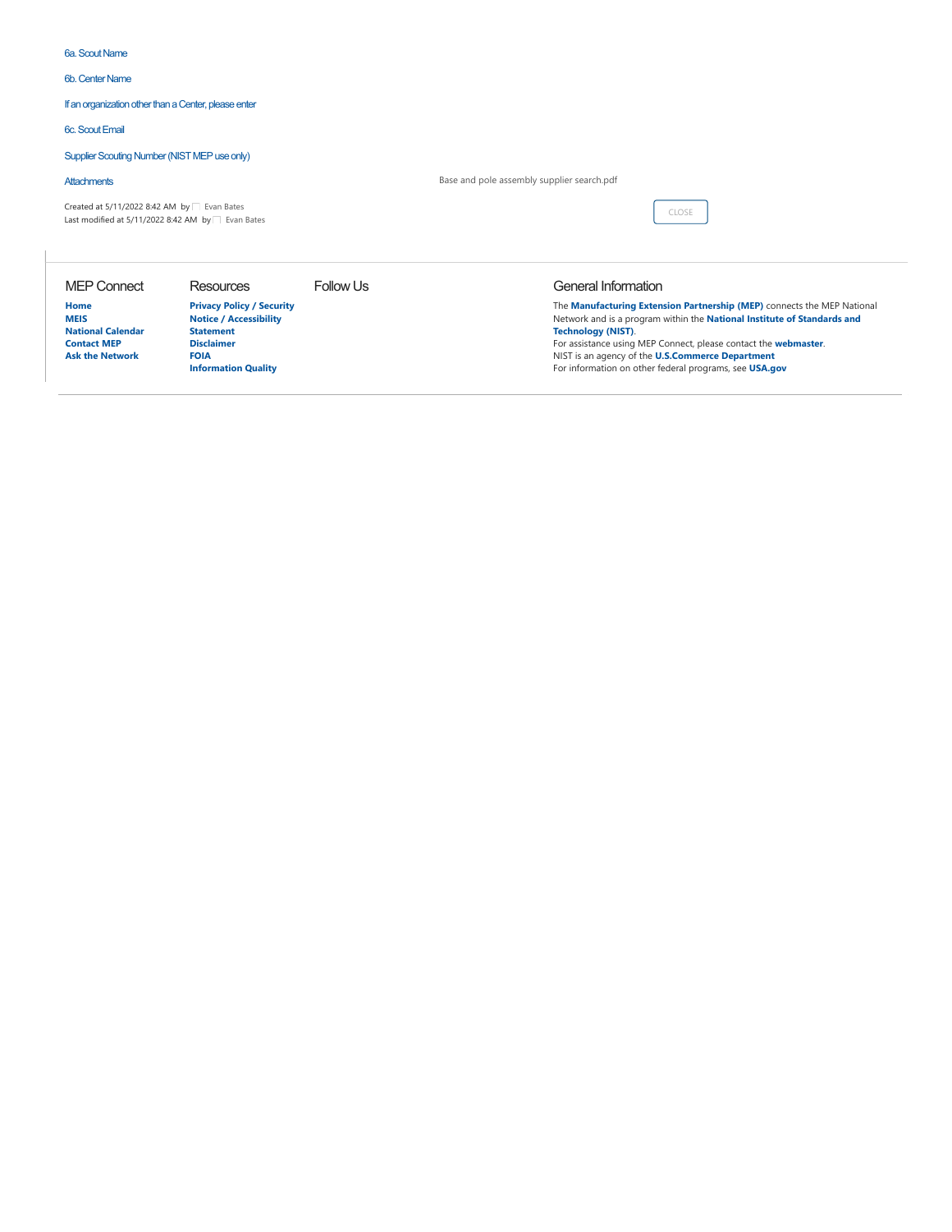## 6a. Scout Name

6b. Center Name

If an organization other than a Center, please enter

## 6c. Scout Email

Supplier Scouting Number (NIST MEP use only)

| <b>Attachments</b>                                                                                             |                                                                   |           | Base and pole assembly supplier search.pdf                                                                                                         |  |
|----------------------------------------------------------------------------------------------------------------|-------------------------------------------------------------------|-----------|----------------------------------------------------------------------------------------------------------------------------------------------------|--|
| Created at $5/11/2022$ 8:42 AM by $\Box$ Evan Bates<br>Last modified at 5/11/2022 8:42 AM by $\Box$ Evan Bates |                                                                   |           | CLOSE                                                                                                                                              |  |
| <b>MEP Connect</b>                                                                                             | <b>Resources</b>                                                  | Follow Us | General Information                                                                                                                                |  |
| Home<br><b>MEIS</b><br>.                                                                                       | <b>Privacy Policy / Security</b><br><b>Notice / Accessibility</b> |           | The Manufacturing Extension Partnership (MEP) connects the MEP National<br>Network and is a program within the National Institute of Standards and |  |

**[National Calendar](https://mic.nist.gov/Lists/National%20NIST%20MEP%20Calender/calendar.aspx) [Contact MEP](https://mic.nist.gov/Pages/Contact-MEP.aspx) [Ask the Network](https://mic.nist.gov/Lists/Community%20Discussion/AllItems.aspx)**

**Statement [Disclaimer](http://www.nist.gov/public_affairs/disclaimer.cfm) [FOIA](http://www.nist.gov/director/foia/) [Information Quality](http://www.nist.gov/director/quality_standards.cfm)**

**Technology (NIST)**. For assistance using MEP Connect, please contact the **[webmaster](mailto:nicole.ausherman@nist.gov)**. NIST is an agency of the **[U.S.Commerce Department](http://www.commerce.gov/)** For information on other federal programs, see **[USA.gov](http://www.usa.gov/)**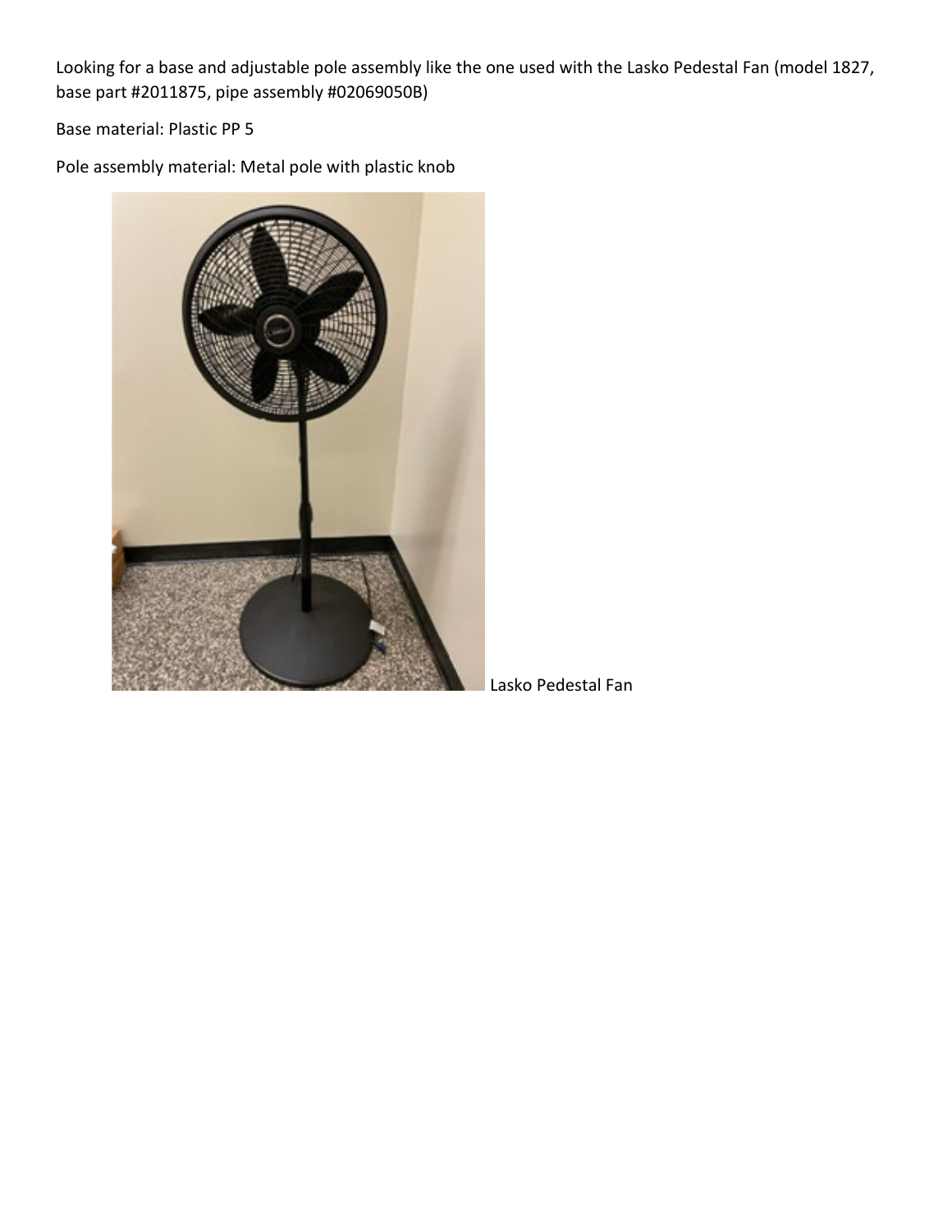Looking for a base and adjustable pole assembly like the one used with the Lasko Pedestal Fan (model 1827, base part #2011875, pipe assembly #02069050B)

Base material: Plastic PP 5

Pole assembly material: Metal pole with plastic knob



Lasko Pedestal Fan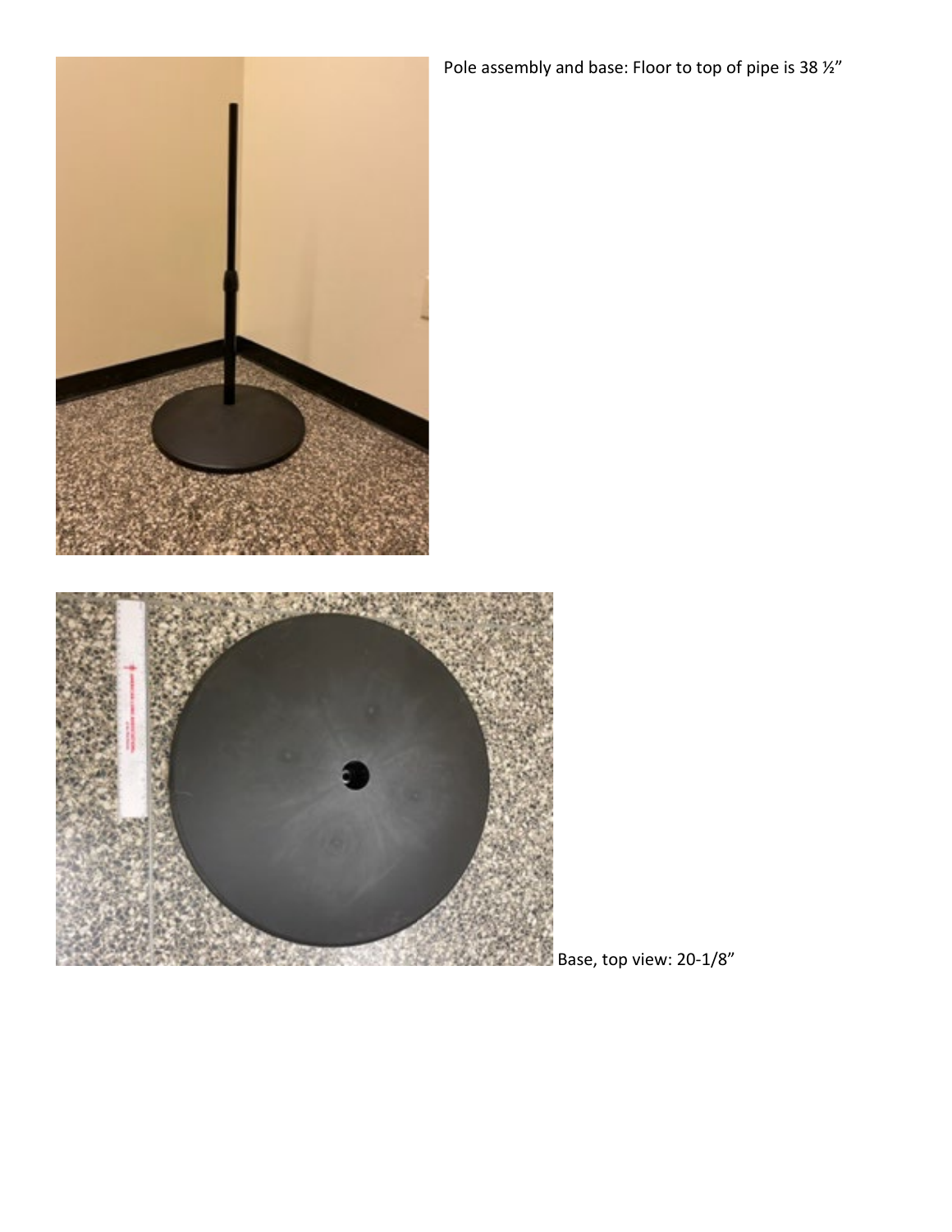Pole assembly and base: Floor to top of pipe is 38  $\frac{1}{2}$ "



Base, top view: 20-1/8"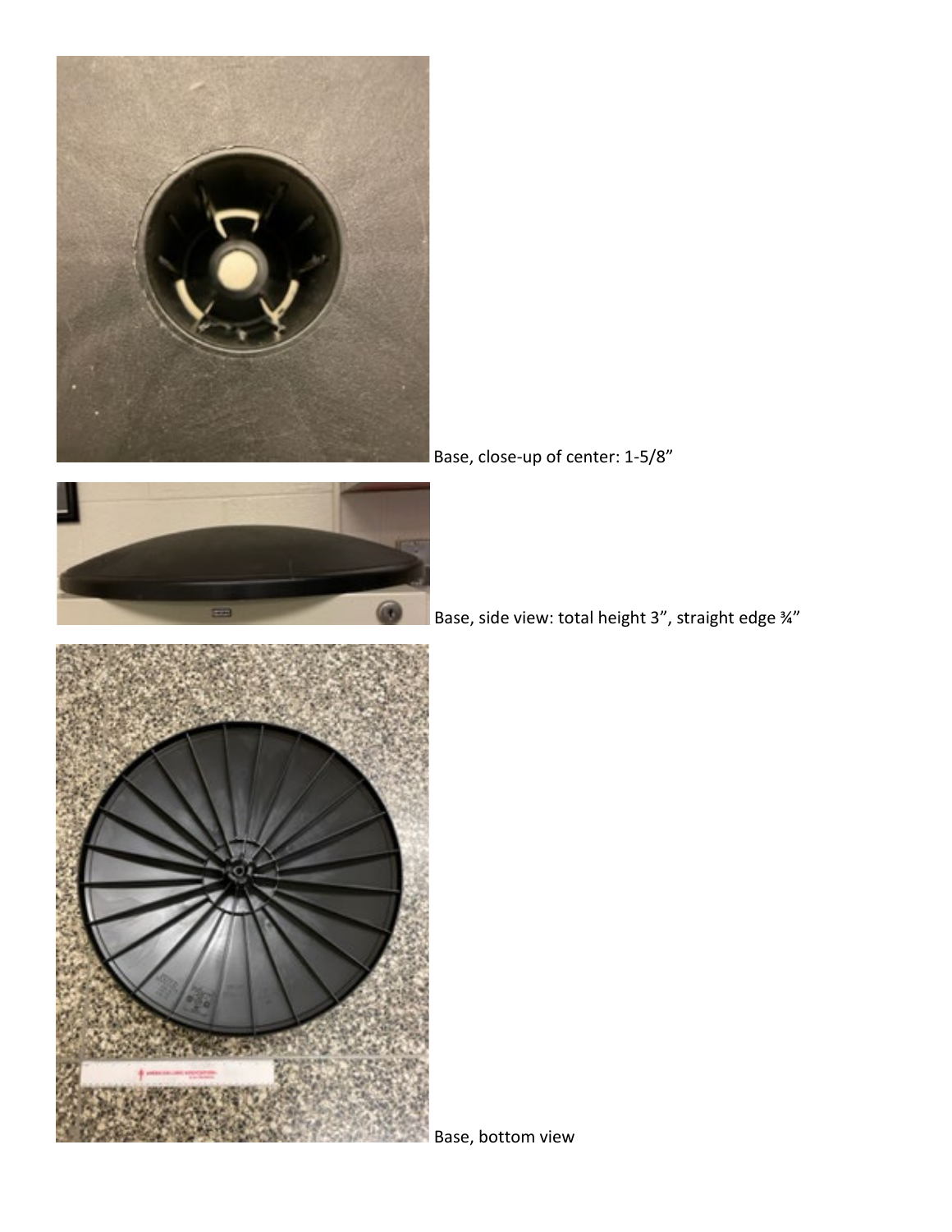





Base, close-up of center: 1-5/8"

Base, side view: total height 3", straight edge ¾"

Base, bottom view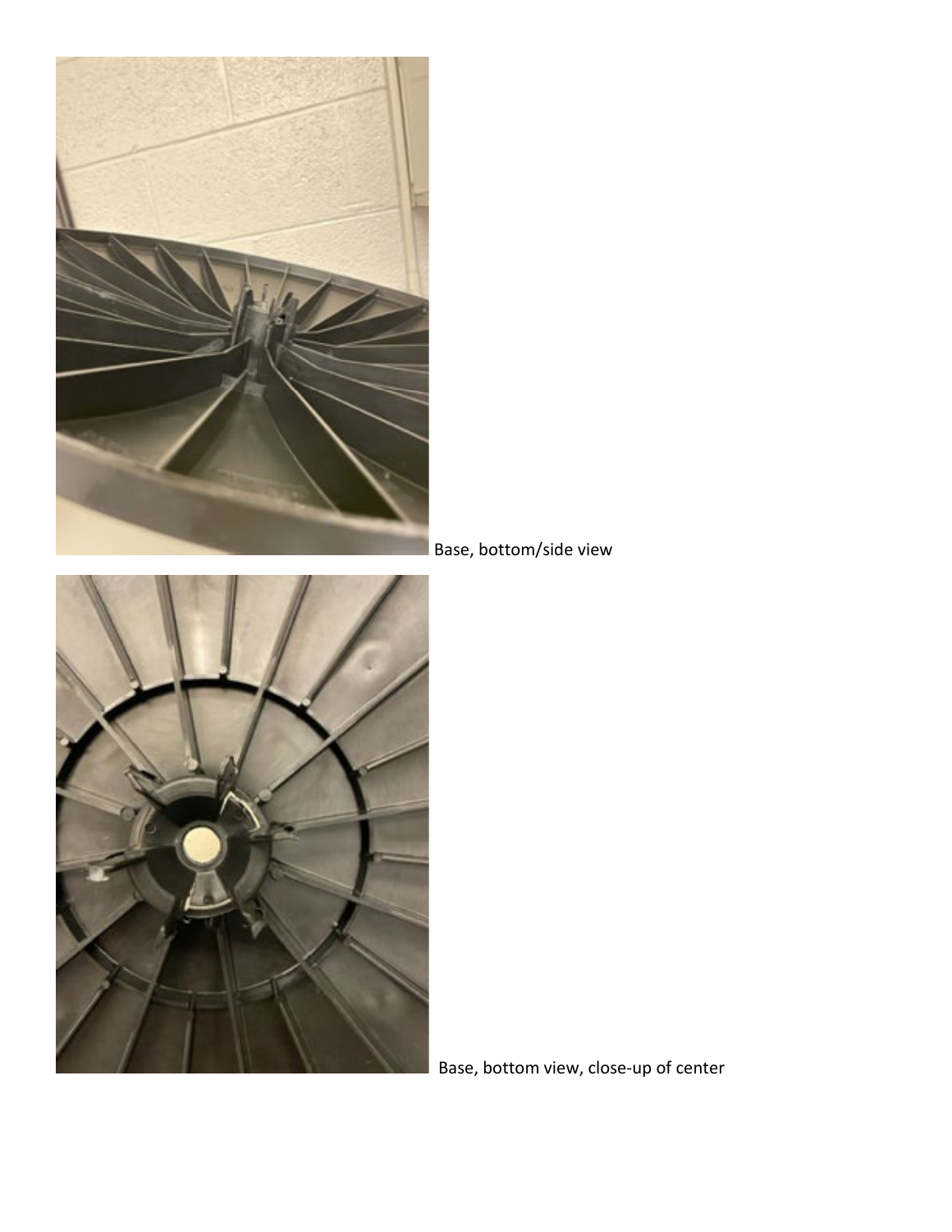

Base, bottom/side view



Base, bottom view, close-up of center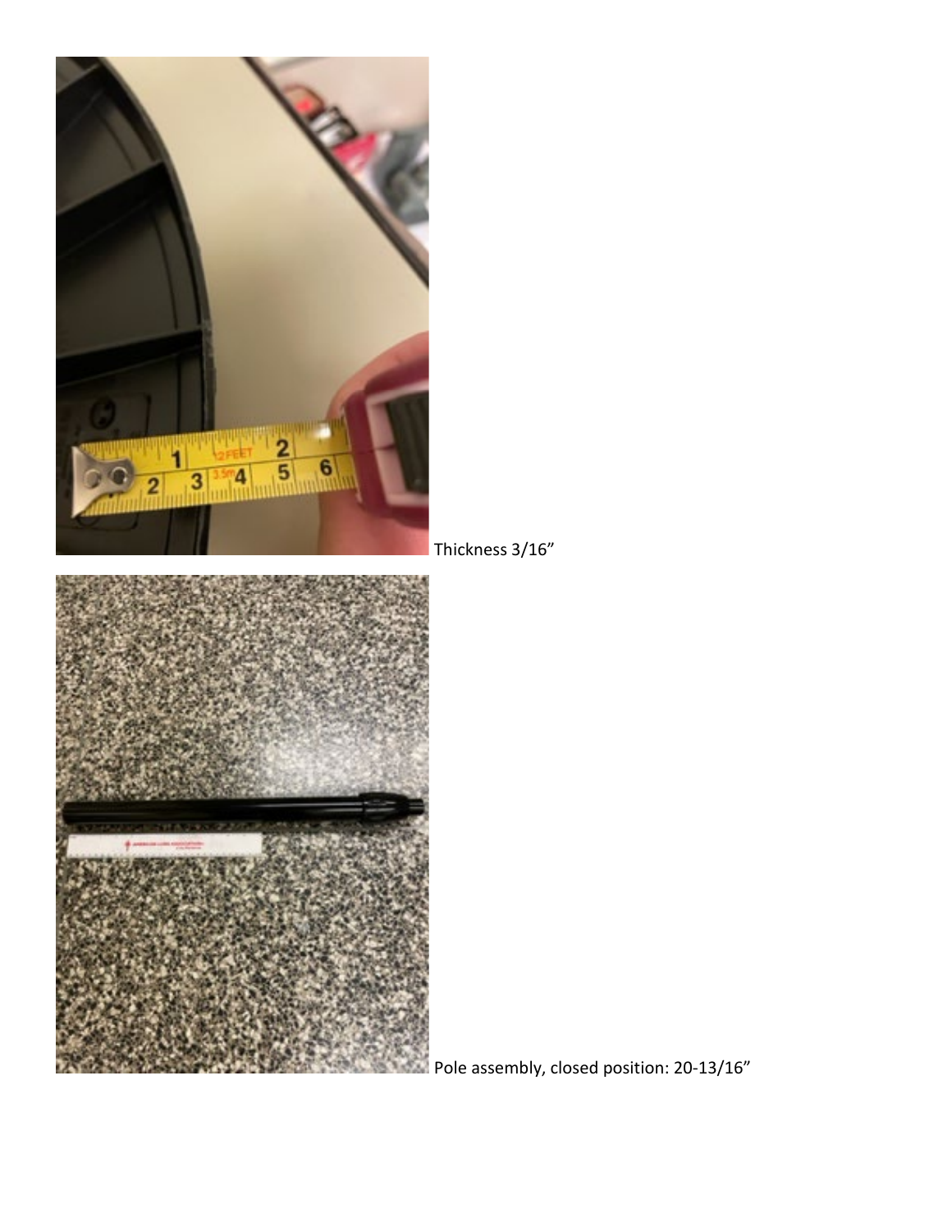

Thickness 3/16"



Pole assembly, closed position: 20-13/16"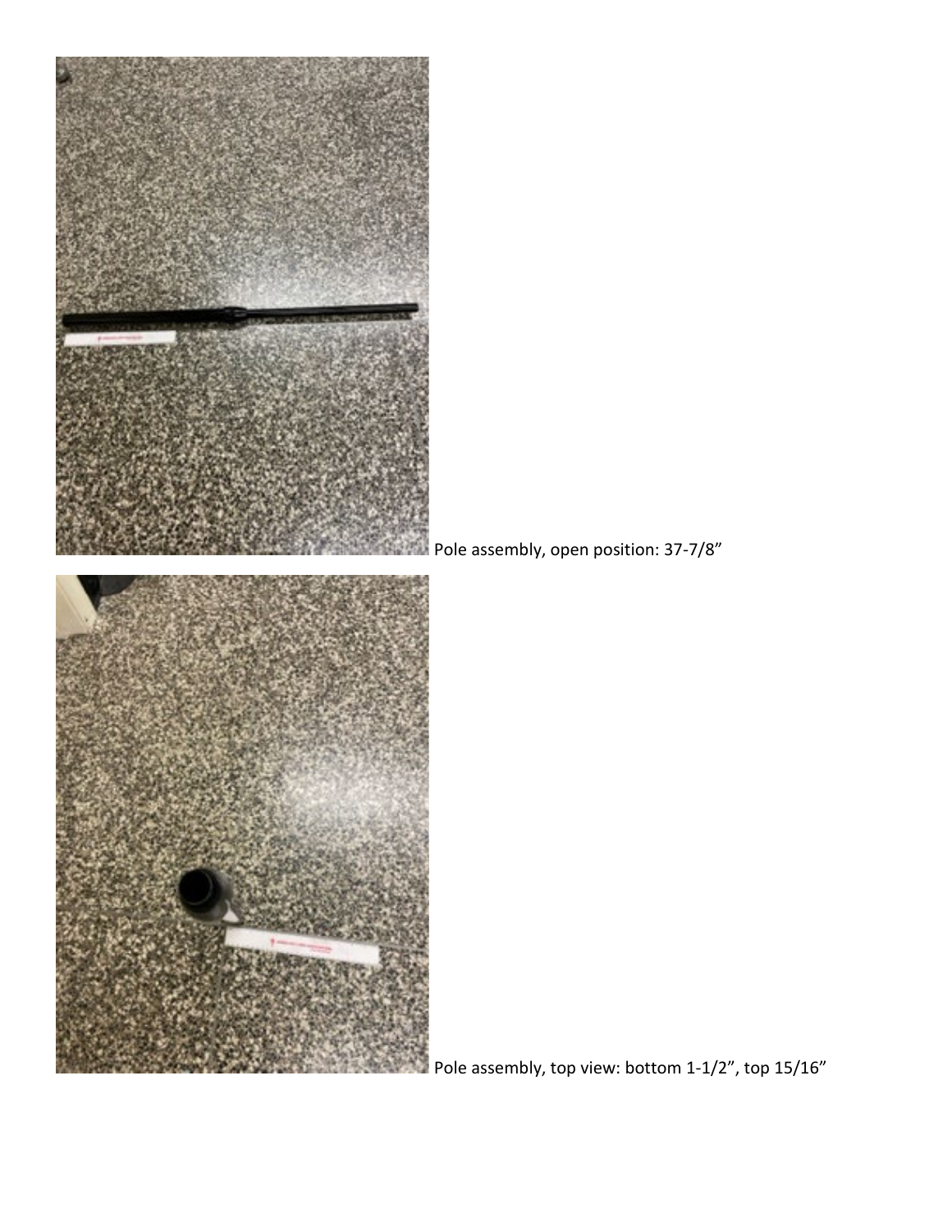

Pole assembly, top view: bottom  $1-1/2$ ", top  $15/16$ "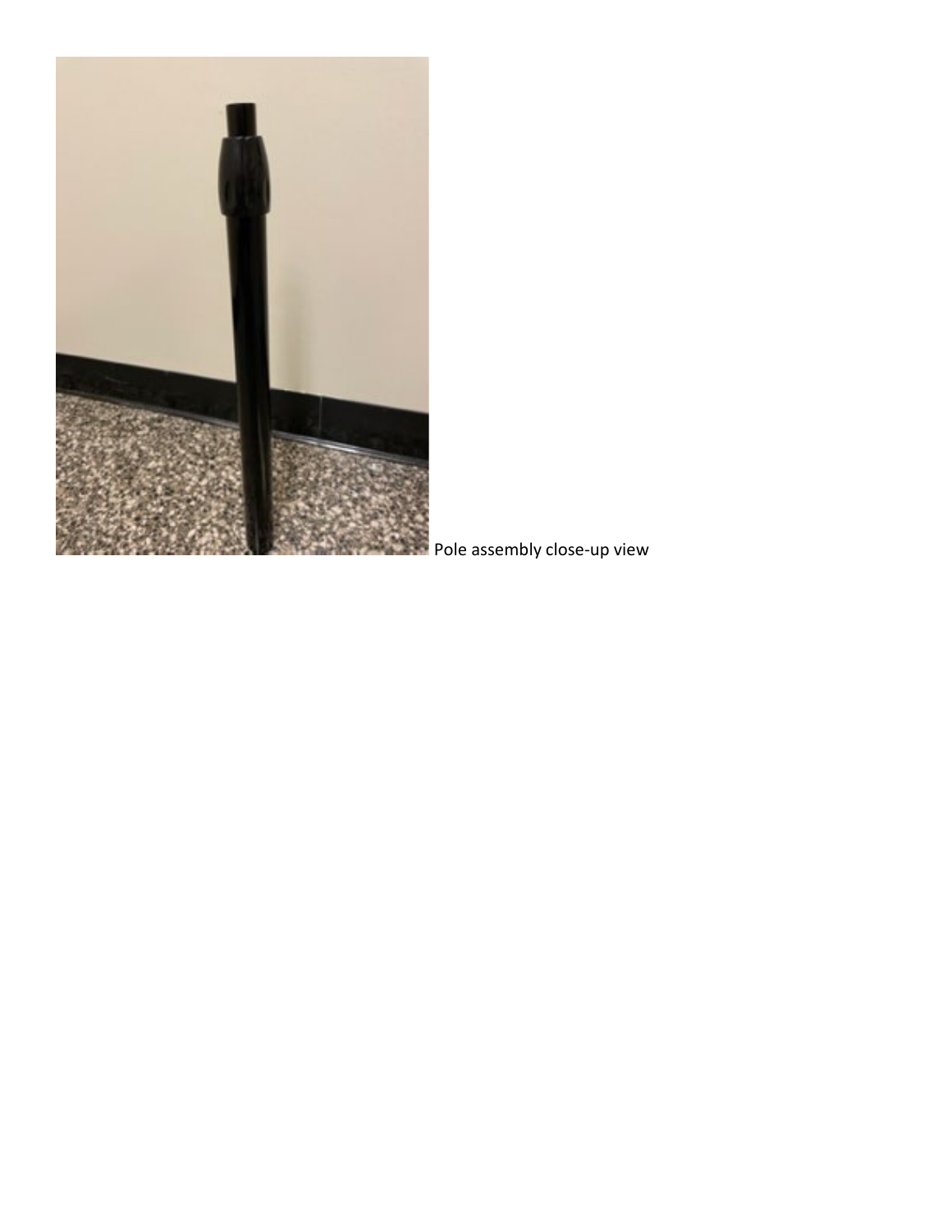

**Pole assembly close-up view**